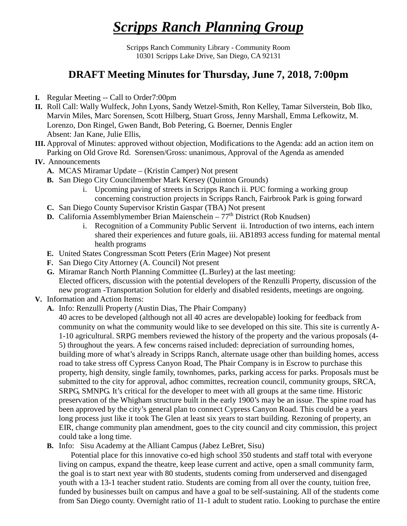## *Scripps Ranch Planning Group*

Scripps Ranch Community Library - Community Room 10301 Scripps Lake Drive, San Diego, CA 92131

## **DRAFT Meeting Minutes for Thursday, June 7, 2018, 7:00pm**

- **I.** Regular Meeting -- Call to Order7:00pm
- **II.** Roll Call: Wally Wulfeck, John Lyons, Sandy Wetzel-Smith, Ron Kelley, Tamar Silverstein, Bob Ilko, Marvin Miles, Marc Sorensen, Scott Hilberg, Stuart Gross, Jenny Marshall, Emma Lefkowitz, M. Lorenzo, Don Ringel, Gwen Bandt, Bob Petering, G. Boerner, Dennis Engler Absent: Jan Kane, Julie Ellis,
- **III.** Approval of Minutes: approved without objection, Modifications to the Agenda: add an action item on Parking on Old Grove Rd. Sorensen/Gross: unanimous, Approval of the Agenda as amended
- **IV.** Announcements
	- **A.** MCAS Miramar Update (Kristin Camper) Not present
	- **B.** San Diego City Councilmember Mark Kersey (Quinton Grounds)
		- i. Upcoming paving of streets in Scripps Ranch ii. PUC forming a working group concerning construction projects in Scripps Ranch, Fairbrook Park is going forward
	- **C.** San Diego County Supervisor Kristin Gaspar (TBA) Not present
	- **D.** California Assemblymember Brian Maienschein  $-77<sup>th</sup>$  District (Rob Knudsen)
		- i. Recognition of a Community Public Servent ii. Introduction of two interns, each intern shared their experiences and future goals, iii. AB1893 access funding for maternal mental health programs
	- **E.** United States Congressman Scott Peters (Erin Magee) Not present
	- **F.** San Diego City Attorney (A. Council) Not present
	- **G.** Miramar Ranch North Planning Committee (L.Burley) at the last meeting: Elected officers, discussion with the potential developers of the Renzulli Property, discussion of the new program -Transportation Solution for elderly and disabled residents, meetings are ongoing.
- **V.** Information and Action Items:
	- **A.** Info: Renzulli Property (Austin Dias, The Phair Company)

40 acres to be developed (although not all 40 acres are developable) looking for feedback from community on what the community would like to see developed on this site. This site is currently A-1-10 agricultural. SRPG members reviewed the history of the property and the various proposals (4- 5) throughout the years. A few concerns raised included: depreciation of surrounding homes, building more of what's already in Scripps Ranch, alternate usage other than building homes, access road to take stress off Cypress Canyon Road, The Phair Company is in Escrow to purchase this property, high density, single family, townhomes, parks, parking access for parks. Proposals must be submitted to the city for approval, adhoc committes, recreation council, community groups, SRCA, SRPG, SMNPG. It's critical for the developer to meet with all groups at the same time. Historic preservation of the Whigham structure built in the early 1900's may be an issue. The spine road has been approved by the city's general plan to connect Cypress Canyon Road. This could be a years long process just like it took The Glen at least six years to start building. Rezoning of property, an EIR, change community plan amendment, goes to the city council and city commission, this project could take a long time.

**B.** Info: Sisu Academy at the Alliant Campus (Jabez LeBret, Sisu)

 Potential place for this innovative co-ed high school 350 students and staff total with everyone living on campus, expand the theatre, keep lease current and active, open a small community farm, the goal is to start next year with 80 students, students coming from underserved and disengaged youth with a 13-1 teacher student ratio. Students are coming from all over the county, tuition free, funded by businesses built on campus and have a goal to be self-sustaining. All of the students come from San Diego county. Overnight ratio of 11-1 adult to student ratio. Looking to purchase the entire